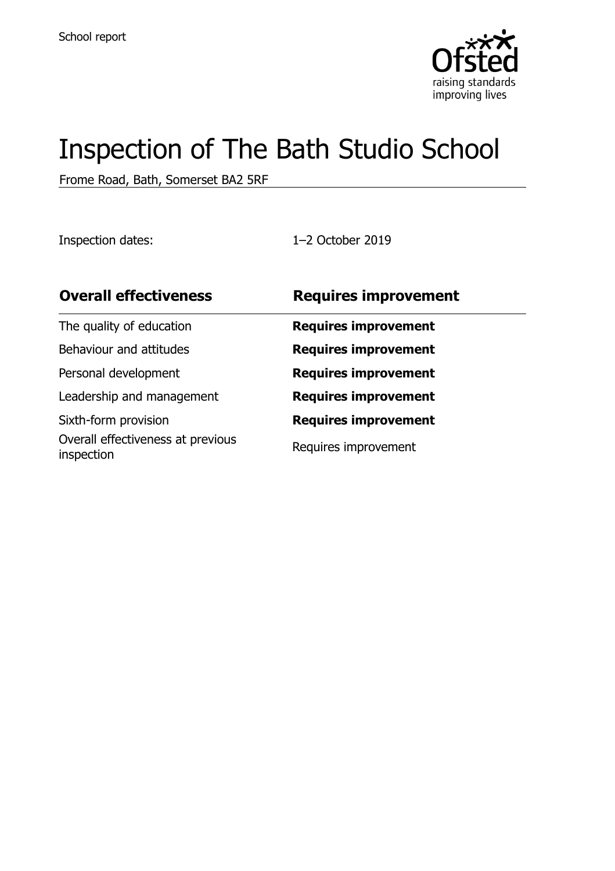

# Inspection of The Bath Studio School

Frome Road, Bath, Somerset BA2 5RF

Inspection dates: 1–2 October 2019

| <b>Overall effectiveness</b>                    | <b>Requires improvement</b> |
|-------------------------------------------------|-----------------------------|
| The quality of education                        | <b>Requires improvement</b> |
| Behaviour and attitudes                         | <b>Requires improvement</b> |
| Personal development                            | <b>Requires improvement</b> |
| Leadership and management                       | <b>Requires improvement</b> |
| Sixth-form provision                            | <b>Requires improvement</b> |
| Overall effectiveness at previous<br>inspection | Requires improvement        |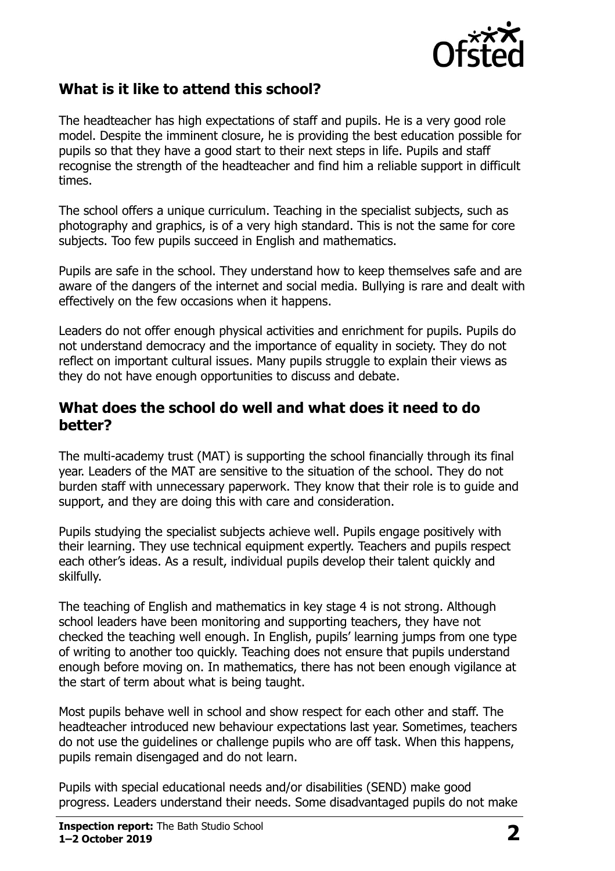

## **What is it like to attend this school?**

The headteacher has high expectations of staff and pupils. He is a very good role model. Despite the imminent closure, he is providing the best education possible for pupils so that they have a good start to their next steps in life. Pupils and staff recognise the strength of the headteacher and find him a reliable support in difficult times.

The school offers a unique curriculum. Teaching in the specialist subjects, such as photography and graphics, is of a very high standard. This is not the same for core subjects. Too few pupils succeed in English and mathematics.

Pupils are safe in the school. They understand how to keep themselves safe and are aware of the dangers of the internet and social media. Bullying is rare and dealt with effectively on the few occasions when it happens.

Leaders do not offer enough physical activities and enrichment for pupils. Pupils do not understand democracy and the importance of equality in society. They do not reflect on important cultural issues. Many pupils struggle to explain their views as they do not have enough opportunities to discuss and debate.

#### **What does the school do well and what does it need to do better?**

The multi-academy trust (MAT) is supporting the school financially through its final year. Leaders of the MAT are sensitive to the situation of the school. They do not burden staff with unnecessary paperwork. They know that their role is to guide and support, and they are doing this with care and consideration.

Pupils studying the specialist subjects achieve well. Pupils engage positively with their learning. They use technical equipment expertly. Teachers and pupils respect each other's ideas. As a result, individual pupils develop their talent quickly and skilfully.

The teaching of English and mathematics in key stage 4 is not strong. Although school leaders have been monitoring and supporting teachers, they have not checked the teaching well enough. In English, pupils' learning jumps from one type of writing to another too quickly. Teaching does not ensure that pupils understand enough before moving on. In mathematics, there has not been enough vigilance at the start of term about what is being taught.

Most pupils behave well in school and show respect for each other and staff. The headteacher introduced new behaviour expectations last year. Sometimes, teachers do not use the guidelines or challenge pupils who are off task. When this happens, pupils remain disengaged and do not learn.

Pupils with special educational needs and/or disabilities (SEND) make good progress. Leaders understand their needs. Some disadvantaged pupils do not make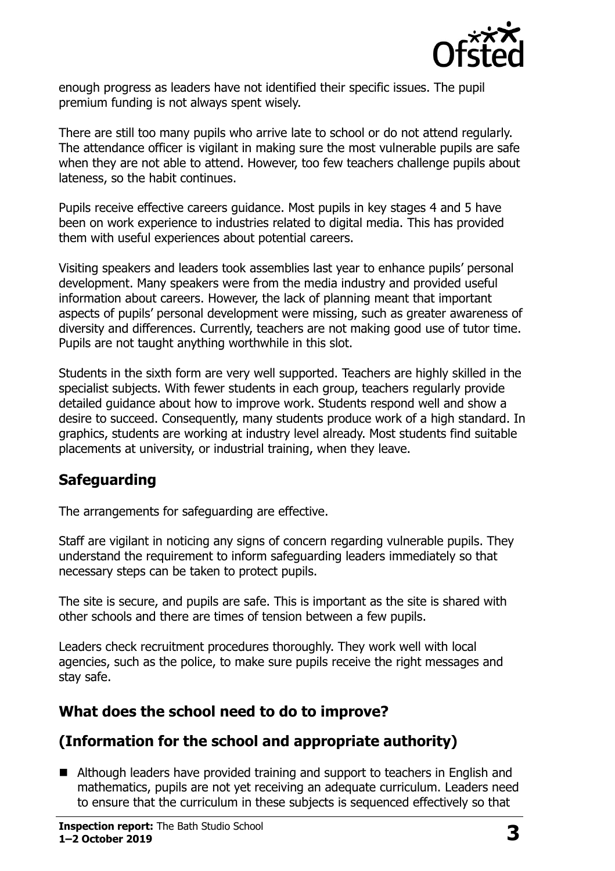

enough progress as leaders have not identified their specific issues. The pupil premium funding is not always spent wisely.

There are still too many pupils who arrive late to school or do not attend regularly. The attendance officer is vigilant in making sure the most vulnerable pupils are safe when they are not able to attend. However, too few teachers challenge pupils about lateness, so the habit continues.

Pupils receive effective careers guidance. Most pupils in key stages 4 and 5 have been on work experience to industries related to digital media. This has provided them with useful experiences about potential careers.

Visiting speakers and leaders took assemblies last year to enhance pupils' personal development. Many speakers were from the media industry and provided useful information about careers. However, the lack of planning meant that important aspects of pupils' personal development were missing, such as greater awareness of diversity and differences. Currently, teachers are not making good use of tutor time. Pupils are not taught anything worthwhile in this slot.

Students in the sixth form are very well supported. Teachers are highly skilled in the specialist subjects. With fewer students in each group, teachers regularly provide detailed guidance about how to improve work. Students respond well and show a desire to succeed. Consequently, many students produce work of a high standard. In graphics, students are working at industry level already. Most students find suitable placements at university, or industrial training, when they leave.

### **Safeguarding**

The arrangements for safeguarding are effective.

Staff are vigilant in noticing any signs of concern regarding vulnerable pupils. They understand the requirement to inform safeguarding leaders immediately so that necessary steps can be taken to protect pupils.

The site is secure, and pupils are safe. This is important as the site is shared with other schools and there are times of tension between a few pupils.

Leaders check recruitment procedures thoroughly. They work well with local agencies, such as the police, to make sure pupils receive the right messages and stay safe.

## **What does the school need to do to improve?**

## **(Information for the school and appropriate authority)**

■ Although leaders have provided training and support to teachers in English and mathematics, pupils are not yet receiving an adequate curriculum. Leaders need to ensure that the curriculum in these subjects is sequenced effectively so that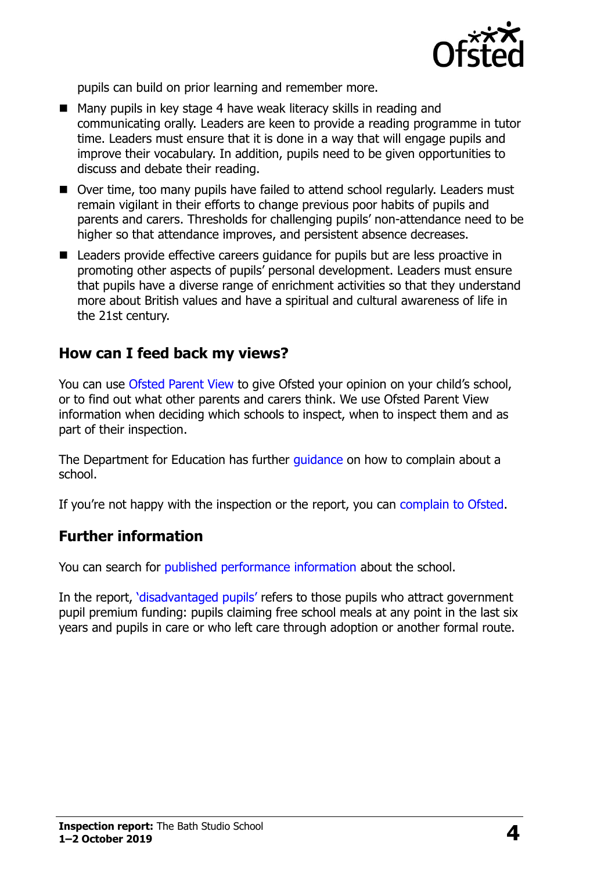

pupils can build on prior learning and remember more.

- Many pupils in key stage 4 have weak literacy skills in reading and communicating orally. Leaders are keen to provide a reading programme in tutor time. Leaders must ensure that it is done in a way that will engage pupils and improve their vocabulary. In addition, pupils need to be given opportunities to discuss and debate their reading.
- Over time, too many pupils have failed to attend school regularly. Leaders must remain vigilant in their efforts to change previous poor habits of pupils and parents and carers. Thresholds for challenging pupils' non-attendance need to be higher so that attendance improves, and persistent absence decreases.
- Leaders provide effective careers quidance for pupils but are less proactive in promoting other aspects of pupils' personal development. Leaders must ensure that pupils have a diverse range of enrichment activities so that they understand more about British values and have a spiritual and cultural awareness of life in the 21st century.

#### **How can I feed back my views?**

You can use [Ofsted Parent View](http://parentview.ofsted.gov.uk/) to give Ofsted your opinion on your child's school, or to find out what other parents and carers think. We use Ofsted Parent View information when deciding which schools to inspect, when to inspect them and as part of their inspection.

The Department for Education has further quidance on how to complain about a school.

If you're not happy with the inspection or the report, you can [complain to Ofsted.](http://www.gov.uk/complain-ofsted-report)

#### **Further information**

You can search for [published performance information](http://www.compare-school-performance.service.gov.uk/) about the school.

In the report, '[disadvantaged pupils](http://www.gov.uk/guidance/pupil-premium-information-for-schools-and-alternative-provision-settings)' refers to those pupils who attract government pupil premium funding: pupils claiming free school meals at any point in the last six years and pupils in care or who left care through adoption or another formal route.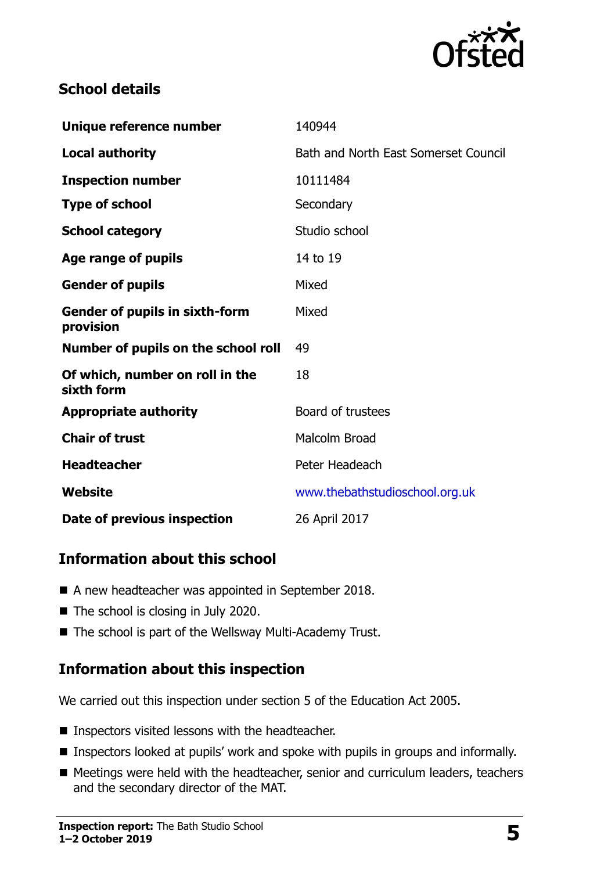

### **School details**

| Unique reference number                            | 140944                               |
|----------------------------------------------------|--------------------------------------|
| <b>Local authority</b>                             | Bath and North East Somerset Council |
| <b>Inspection number</b>                           | 10111484                             |
| <b>Type of school</b>                              | Secondary                            |
| <b>School category</b>                             | Studio school                        |
| Age range of pupils                                | 14 to 19                             |
| <b>Gender of pupils</b>                            | Mixed                                |
| <b>Gender of pupils in sixth-form</b><br>provision | Mixed                                |
| Number of pupils on the school roll                | 49                                   |
| Of which, number on roll in the<br>sixth form      | 18                                   |
| <b>Appropriate authority</b>                       | Board of trustees                    |
| <b>Chair of trust</b>                              | Malcolm Broad                        |
| <b>Headteacher</b>                                 | Peter Headeach                       |
| Website                                            | www.thebathstudioschool.org.uk       |
| Date of previous inspection                        | 26 April 2017                        |

## **Information about this school**

- A new headteacher was appointed in September 2018.
- The school is closing in July 2020.
- The school is part of the Wellsway Multi-Academy Trust.

### **Information about this inspection**

We carried out this inspection under section 5 of the Education Act 2005.

- **Inspectors visited lessons with the headteacher.**
- **Inspectors looked at pupils' work and spoke with pupils in groups and informally.**
- Meetings were held with the headteacher, senior and curriculum leaders, teachers and the secondary director of the MAT.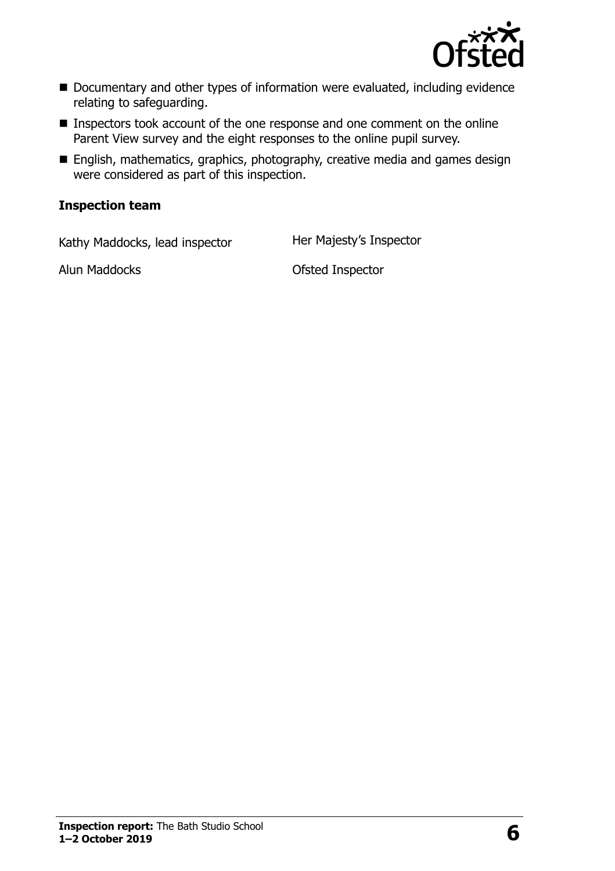

- Documentary and other types of information were evaluated, including evidence relating to safeguarding.
- **Inspectors took account of the one response and one comment on the online** Parent View survey and the eight responses to the online pupil survey.
- **English, mathematics, graphics, photography, creative media and games design** were considered as part of this inspection.

#### **Inspection team**

Kathy Maddocks, lead inspector Her Majesty's Inspector

Alun Maddocks **Ofsted Inspector**